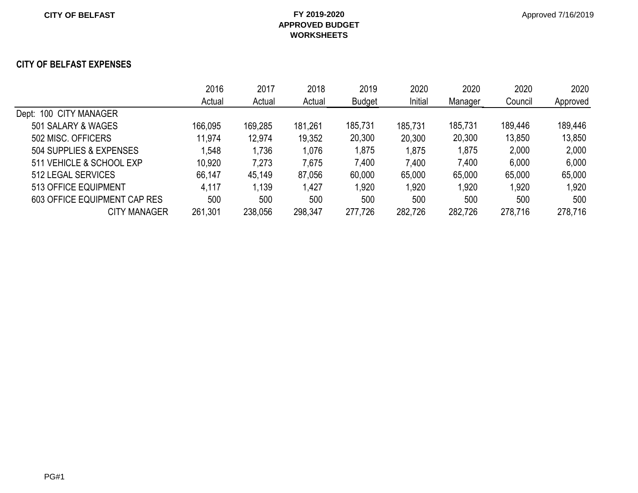#### **CITY OF BELFAST EXPENSES**

|                              | 2016    | 2017    | 2018    | 2019          | 2020    | 2020    | 2020    | 2020     |
|------------------------------|---------|---------|---------|---------------|---------|---------|---------|----------|
|                              | Actual  | Actual  | Actual  | <b>Budget</b> | Initial | Manager | Council | Approved |
| Dept: 100 CITY MANAGER       |         |         |         |               |         |         |         |          |
| 501 SALARY & WAGES           | 166,095 | 169,285 | 181,261 | 185,731       | 185,731 | 185,731 | 189,446 | 189,446  |
| 502 MISC. OFFICERS           | 11,974  | 12,974  | 19,352  | 20,300        | 20,300  | 20,300  | 13,850  | 13,850   |
| 504 SUPPLIES & EXPENSES      | .548    | 1,736   | 1,076   | 1,875         | 1,875   | 1,875   | 2,000   | 2,000    |
| 511 VEHICLE & SCHOOL EXP     | 10,920  | 7,273   | 7,675   | 7,400         | 7,400   | 7,400   | 6,000   | 6,000    |
| 512 LEGAL SERVICES           | 66,147  | 45,149  | 87,056  | 60,000        | 65,000  | 65,000  | 65,000  | 65,000   |
| 513 OFFICE EQUIPMENT         | 4,117   | 1,139   | 1,427   | ,920          | 1,920   | 1,920   | 1,920   | 1,920    |
| 603 OFFICE EQUIPMENT CAP RES | 500     | 500     | 500     | 500           | 500     | 500     | 500     | 500      |
| <b>CITY MANAGER</b>          | 261,301 | 238,056 | 298,347 | 277,726       | 282,726 | 282,726 | 278,716 | 278,716  |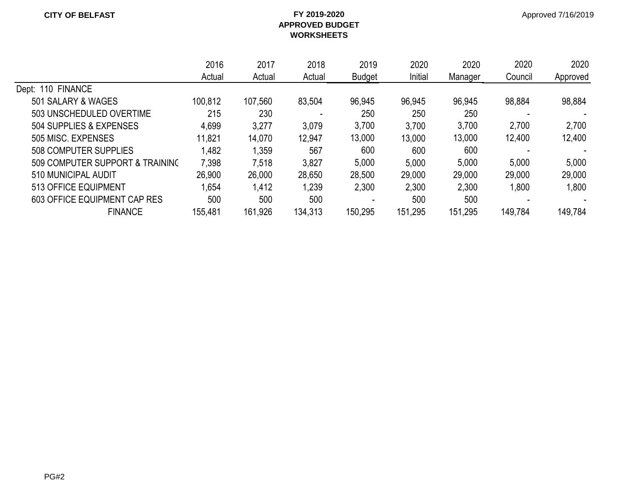|                                 | 2016    | 2017    | 2018    | 2019          | 2020    | 2020    | 2020    | 2020     |
|---------------------------------|---------|---------|---------|---------------|---------|---------|---------|----------|
|                                 | Actual  | Actual  | Actual  | <b>Budget</b> | Initial | Manager | Council | Approved |
| Dept: 110 FINANCE               |         |         |         |               |         |         |         |          |
| 501 SALARY & WAGES              | 100,812 | 107,560 | 83,504  | 96,945        | 96,945  | 96,945  | 98,884  | 98,884   |
| 503 UNSCHEDULED OVERTIME        | 215     | 230     |         | 250           | 250     | 250     |         |          |
| 504 SUPPLIES & EXPENSES         | 4,699   | 3,277   | 3,079   | 3,700         | 3,700   | 3,700   | 2,700   | 2,700    |
| 505 MISC. EXPENSES              | 11,821  | 14,070  | 12,947  | 13,000        | 13,000  | 13,000  | 12,400  | 12,400   |
| 508 COMPUTER SUPPLIES           | 1,482   | 1,359   | 567     | 600           | 600     | 600     |         |          |
| 509 COMPUTER SUPPORT & TRAINING | 7,398   | 7,518   | 3,827   | 5,000         | 5,000   | 5,000   | 5,000   | 5,000    |
| 510 MUNICIPAL AUDIT             | 26,900  | 26,000  | 28,650  | 28,500        | 29,000  | 29,000  | 29,000  | 29,000   |
| 513 OFFICE EQUIPMENT            | .654    | 1,412   | 1,239   | 2,300         | 2,300   | 2,300   | 1,800   | 1,800    |
| 603 OFFICE EQUIPMENT CAP RES    | 500     | 500     | 500     |               | 500     | 500     |         |          |
| <b>FINANCE</b>                  | 155,481 | 161,926 | 134,313 | 150,295       | 151,295 | 151,295 | 149,784 | 149,784  |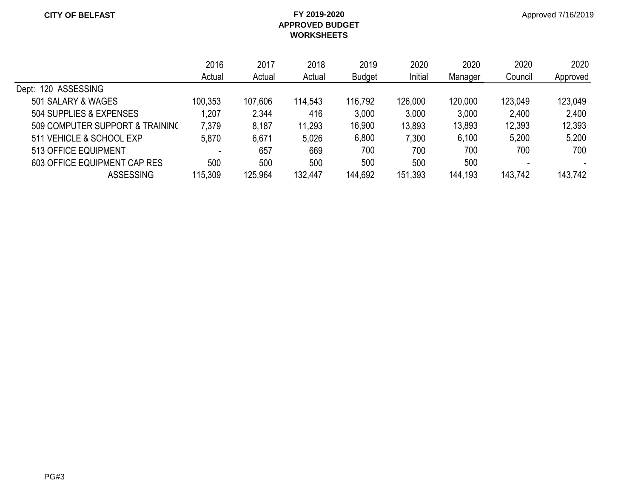|                                 | 2016    | 2017    | 2018    | 2019          | 2020    | 2020    | 2020    | 2020     |
|---------------------------------|---------|---------|---------|---------------|---------|---------|---------|----------|
|                                 | Actual  | Actual  | Actual  | <b>Budget</b> | Initial | Manager | Council | Approved |
| Dept: 120 ASSESSING             |         |         |         |               |         |         |         |          |
| 501 SALARY & WAGES              | 100,353 | 107,606 | 114,543 | 116,792       | 126,000 | 120,000 | 123,049 | 123,049  |
| 504 SUPPLIES & EXPENSES         | 1,207   | 2,344   | 416     | 3,000         | 3,000   | 3,000   | 2,400   | 2,400    |
| 509 COMPUTER SUPPORT & TRAINING | 7,379   | 8,187   | 11,293  | 16,900        | 13,893  | 13,893  | 12,393  | 12,393   |
| 511 VEHICLE & SCHOOL EXP        | 5,870   | 6,671   | 5,026   | 6,800         | 7,300   | 6,100   | 5,200   | 5,200    |
| 513 OFFICE EQUIPMENT            |         | 657     | 669     | 700           | 700     | 700     | 700     | 700      |
| 603 OFFICE EQUIPMENT CAP RES    | 500     | 500     | 500     | 500           | 500     | 500     |         |          |
| <b>ASSESSING</b>                | 115,309 | 125,964 | 132,447 | 144,692       | 151,393 | 144,193 | 143,742 | 143,742  |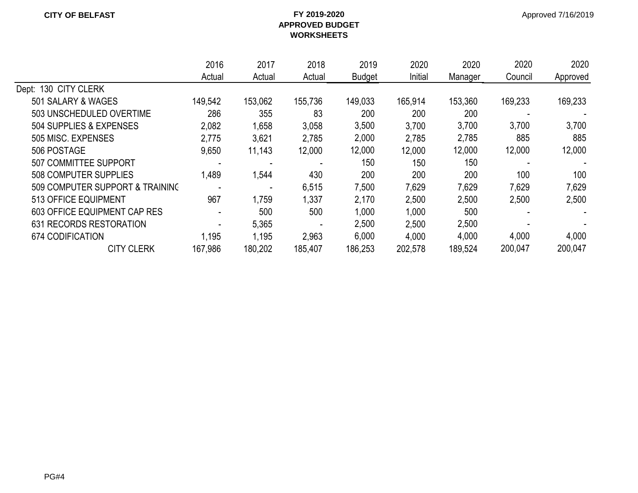|                                 | 2016    | 2017    | 2018    | 2019          | 2020    | 2020    | 2020    | 2020     |
|---------------------------------|---------|---------|---------|---------------|---------|---------|---------|----------|
|                                 | Actual  | Actual  | Actual  | <b>Budget</b> | Initial | Manager | Council | Approved |
| Dept: 130 CITY CLERK            |         |         |         |               |         |         |         |          |
| 501 SALARY & WAGES              | 149,542 | 153,062 | 155,736 | 149,033       | 165,914 | 153,360 | 169,233 | 169,233  |
| 503 UNSCHEDULED OVERTIME        | 286     | 355     | 83      | 200           | 200     | 200     |         |          |
| 504 SUPPLIES & EXPENSES         | 2,082   | 1,658   | 3,058   | 3,500         | 3,700   | 3,700   | 3,700   | 3,700    |
| 505 MISC, EXPENSES              | 2,775   | 3,621   | 2,785   | 2,000         | 2,785   | 2,785   | 885     | 885      |
| 506 POSTAGE                     | 9,650   | 11,143  | 12,000  | 12,000        | 12,000  | 12,000  | 12,000  | 12,000   |
| <b>507 COMMITTEE SUPPORT</b>    |         |         |         | 150           | 150     | 150     |         |          |
| 508 COMPUTER SUPPLIES           | 1,489   | 1,544   | 430     | 200           | 200     | 200     | 100     | 100      |
| 509 COMPUTER SUPPORT & TRAINING |         |         | 6,515   | 7,500         | 7,629   | 7,629   | 7,629   | 7,629    |
| 513 OFFICE EQUIPMENT            | 967     | 1,759   | 1,337   | 2,170         | 2,500   | 2,500   | 2,500   | 2,500    |
| 603 OFFICE EQUIPMENT CAP RES    |         | 500     | 500     | 1,000         | 1,000   | 500     |         |          |
| 631 RECORDS RESTORATION         |         | 5,365   |         | 2,500         | 2,500   | 2,500   |         |          |
| 674 CODIFICATION                | 1,195   | 1,195   | 2,963   | 6,000         | 4,000   | 4,000   | 4,000   | 4,000    |
| <b>CITY CLERK</b>               | 167,986 | 180,202 | 185,407 | 186,253       | 202,578 | 189,524 | 200,047 | 200,047  |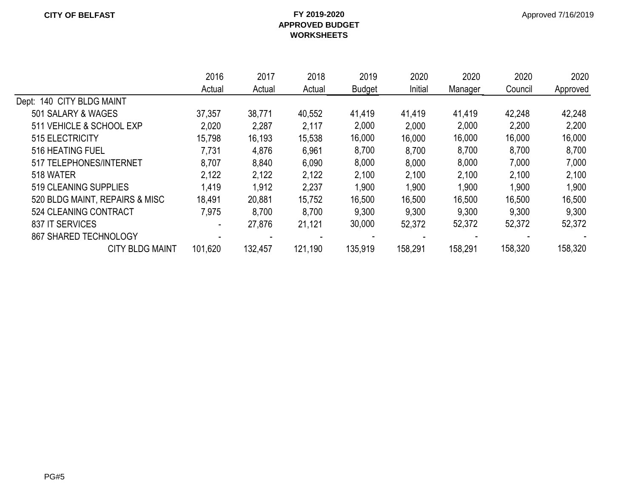|                                | 2016    | 2017    | 2018    | 2019          | 2020    | 2020    | 2020    | 2020     |
|--------------------------------|---------|---------|---------|---------------|---------|---------|---------|----------|
|                                | Actual  | Actual  | Actual  | <b>Budget</b> | Initial | Manager | Council | Approved |
| Dept: 140 CITY BLDG MAINT      |         |         |         |               |         |         |         |          |
| 501 SALARY & WAGES             | 37,357  | 38,771  | 40,552  | 41,419        | 41,419  | 41,419  | 42,248  | 42,248   |
| 511 VEHICLE & SCHOOL EXP       | 2,020   | 2,287   | 2,117   | 2,000         | 2,000   | 2,000   | 2,200   | 2,200    |
| 515 ELECTRICITY                | 15,798  | 16,193  | 15,538  | 16,000        | 16,000  | 16,000  | 16,000  | 16,000   |
| 516 HEATING FUEL               | 7,731   | 4,876   | 6,961   | 8,700         | 8,700   | 8,700   | 8,700   | 8,700    |
| 517 TELEPHONES/INTERNET        | 8,707   | 8,840   | 6,090   | 8,000         | 8,000   | 8,000   | 7,000   | 7,000    |
| 518 WATER                      | 2,122   | 2,122   | 2,122   | 2,100         | 2,100   | 2,100   | 2,100   | 2,100    |
| 519 CLEANING SUPPLIES          | 1,419   | 1,912   | 2,237   | ,900          | 1,900   | 1,900   | 1,900   | 1,900    |
| 520 BLDG MAINT, REPAIRS & MISC | 18,491  | 20,881  | 15,752  | 16,500        | 16,500  | 16,500  | 16,500  | 16,500   |
| 524 CLEANING CONTRACT          | 7,975   | 8,700   | 8,700   | 9,300         | 9,300   | 9,300   | 9,300   | 9,300    |
| 837 IT SERVICES                |         | 27,876  | 21,121  | 30,000        | 52,372  | 52,372  | 52,372  | 52,372   |
| 867 SHARED TECHNOLOGY          |         |         |         |               |         |         |         |          |
| <b>CITY BLDG MAINT</b>         | 101,620 | 132,457 | 121,190 | 135,919       | 158,291 | 158,291 | 158,320 | 158,320  |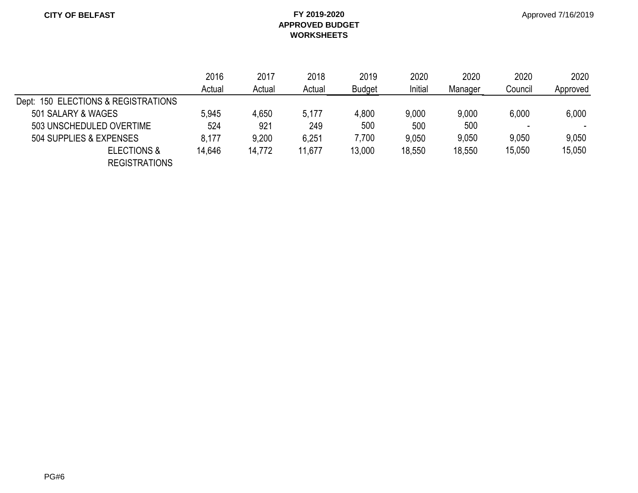|                                     | 2016   | 2017<br>2018<br>2019<br>2020<br>Initial<br>Actual<br>Actual<br>Actual<br><b>Budget</b> | 2020   | 2020   | 2020   |         |         |          |
|-------------------------------------|--------|----------------------------------------------------------------------------------------|--------|--------|--------|---------|---------|----------|
|                                     |        |                                                                                        |        |        |        | Manager | Council | Approved |
| Dept: 150 ELECTIONS & REGISTRATIONS |        |                                                                                        |        |        |        |         |         |          |
| 501 SALARY & WAGES                  | 5,945  | 4,650                                                                                  | 5,177  | 4,800  | 9,000  | 9,000   | 6,000   | 6,000    |
| 503 UNSCHEDULED OVERTIME            | 524    | 921                                                                                    | 249    | 500    | 500    | 500     | -       | $\sim$   |
| 504 SUPPLIES & EXPENSES             | 8,177  | 9,200                                                                                  | 6,251  | 7,700  | 9,050  | 9,050   | 9,050   | 9,050    |
| <b>ELECTIONS &amp;</b>              | 14,646 | 14,772                                                                                 | 11,677 | 13,000 | 18,550 | 18,550  | 15,050  | 15,050   |
| <b>REGISTRATIONS</b>                |        |                                                                                        |        |        |        |         |         |          |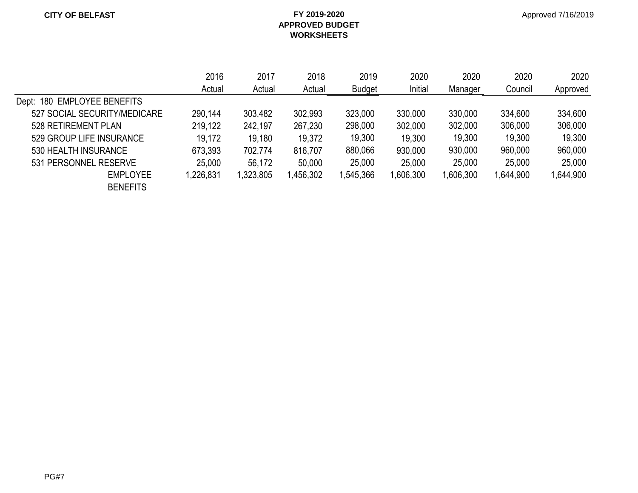|                              | 2016      | 2017     | 2018    | 2019          | 2020     | 2020      | 2020<br>Council | 2020      |
|------------------------------|-----------|----------|---------|---------------|----------|-----------|-----------------|-----------|
|                              | Actual    | Actual   | Actual  | <b>Budget</b> | Initial  | Manager   |                 | Approved  |
| Dept: 180 EMPLOYEE BENEFITS  |           |          |         |               |          |           |                 |           |
| 527 SOCIAL SECURITY/MEDICARE | 290,144   | 303,482  | 302,993 | 323,000       | 330,000  | 330,000   | 334,600         | 334,600   |
| 528 RETIREMENT PLAN          | 219,122   | 242,197  | 267,230 | 298,000       | 302,000  | 302,000   | 306,000         | 306,000   |
| 529 GROUP LIFE INSURANCE     | 19,172    | 19,180   | 19,372  | 19,300        | 19,300   | 19,300    | 19,300          | 19,300    |
| 530 HEALTH INSURANCE         | 673,393   | 702,774  | 816.707 | 880,066       | 930,000  | 930,000   | 960,000         | 960,000   |
| 531 PERSONNEL RESERVE        | 25,000    | 56,172   | 50,000  | 25,000        | 25,000   | 25,000    | 25,000          | 25,000    |
| <b>EMPLOYEE</b>              | 1,226,831 | ,323,805 | 456,302 | 1,545,366     | ,606,300 | 1,606,300 | 1,644,900       | 1,644,900 |
| <b>BENEFITS</b>              |           |          |         |               |          |           |                 |           |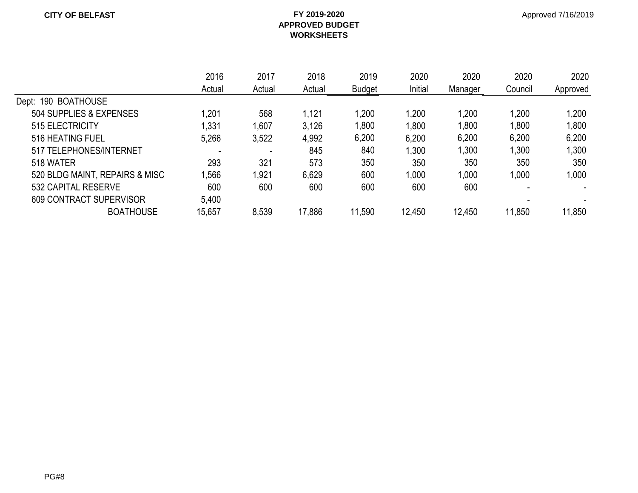|                                | 2016   | 2017   | 2018   | 2019          | 2020    | 2020    | 2020<br>Council | 2020<br>Approved |
|--------------------------------|--------|--------|--------|---------------|---------|---------|-----------------|------------------|
|                                | Actual | Actual | Actual | <b>Budget</b> | Initial | Manager |                 |                  |
| Dept: 190 BOATHOUSE            |        |        |        |               |         |         |                 |                  |
| 504 SUPPLIES & EXPENSES        | .201   | 568    | 1,121  | 1,200         | 1,200   | 1,200   | 1,200           | 1,200            |
| 515 ELECTRICITY                | 1,331  | 1,607  | 3,126  | 1,800         | 1,800   | 1,800   | 1,800           | 1,800            |
| 516 HEATING FUEL               | 5,266  | 3,522  | 4,992  | 6,200         | 6,200   | 6,200   | 6,200           | 6,200            |
| 517 TELEPHONES/INTERNET        |        |        | 845    | 840           | 1,300   | 1,300   | 1,300           | 1,300            |
| 518 WATER                      | 293    | 321    | 573    | 350           | 350     | 350     | 350             | 350              |
| 520 BLDG MAINT, REPAIRS & MISC | .566   | 1,921  | 6,629  | 600           | 1,000   | 1.000   | 1,000           | 1,000            |
| 532 CAPITAL RESERVE            | 600    | 600    | 600    | 600           | 600     | 600     |                 |                  |
| <b>609 CONTRACT SUPERVISOR</b> | 5,400  |        |        |               |         |         |                 |                  |
| <b>BOATHOUSE</b>               | 15,657 | 8,539  | 17,886 | 11,590        | 12,450  | 12.450  | 11,850          | 11,850           |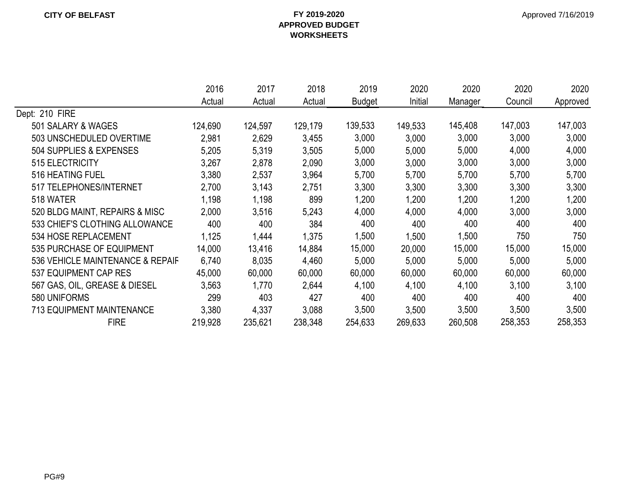|                                  | 2016    | 2017    | 2018    | 2019          | 2020    | 2020    | 2020    | 2020     |
|----------------------------------|---------|---------|---------|---------------|---------|---------|---------|----------|
|                                  | Actual  | Actual  | Actual  | <b>Budget</b> | Initial | Manager | Council | Approved |
| Dept: 210 FIRE                   |         |         |         |               |         |         |         |          |
| 501 SALARY & WAGES               | 124,690 | 124,597 | 129,179 | 139,533       | 149,533 | 145,408 | 147,003 | 147,003  |
| 503 UNSCHEDULED OVERTIME         | 2,981   | 2,629   | 3,455   | 3,000         | 3,000   | 3,000   | 3,000   | 3,000    |
| 504 SUPPLIES & EXPENSES          | 5,205   | 5,319   | 3,505   | 5,000         | 5,000   | 5,000   | 4,000   | 4,000    |
| 515 ELECTRICITY                  | 3,267   | 2,878   | 2,090   | 3,000         | 3,000   | 3,000   | 3,000   | 3,000    |
| 516 HEATING FUEL                 | 3,380   | 2,537   | 3,964   | 5,700         | 5,700   | 5,700   | 5,700   | 5,700    |
| 517 TELEPHONES/INTERNET          | 2,700   | 3,143   | 2,751   | 3,300         | 3,300   | 3,300   | 3,300   | 3,300    |
| 518 WATER                        | 1,198   | 1,198   | 899     | 1,200         | 1,200   | 1,200   | 1,200   | 1,200    |
| 520 BLDG MAINT, REPAIRS & MISC   | 2,000   | 3,516   | 5,243   | 4,000         | 4,000   | 4,000   | 3,000   | 3,000    |
| 533 CHIEF'S CLOTHING ALLOWANCE   | 400     | 400     | 384     | 400           | 400     | 400     | 400     | 400      |
| 534 HOSE REPLACEMENT             | 1,125   | 1,444   | 1,375   | 1,500         | 1,500   | 1,500   | 750     | 750      |
| 535 PURCHASE OF EQUIPMENT        | 14,000  | 13,416  | 14,884  | 15,000        | 20,000  | 15,000  | 15,000  | 15,000   |
| 536 VEHICLE MAINTENANCE & REPAIF | 6,740   | 8,035   | 4,460   | 5,000         | 5,000   | 5,000   | 5,000   | 5,000    |
| 537 EQUIPMENT CAP RES            | 45,000  | 60,000  | 60,000  | 60,000        | 60,000  | 60,000  | 60,000  | 60,000   |
| 567 GAS, OIL, GREASE & DIESEL    | 3,563   | 1,770   | 2,644   | 4,100         | 4,100   | 4,100   | 3,100   | 3,100    |
| 580 UNIFORMS                     | 299     | 403     | 427     | 400           | 400     | 400     | 400     | 400      |
| <b>713 EQUIPMENT MAINTENANCE</b> | 3,380   | 4,337   | 3,088   | 3,500         | 3,500   | 3,500   | 3,500   | 3,500    |
| <b>FIRE</b>                      | 219,928 | 235,621 | 238,348 | 254,633       | 269,633 | 260,508 | 258,353 | 258,353  |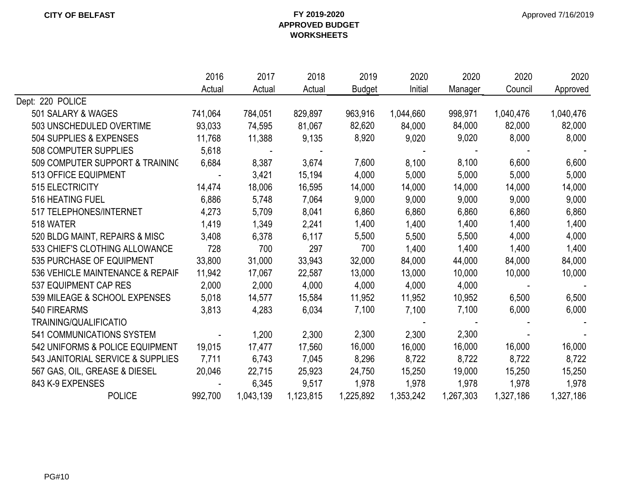|                                   | 2016           | 2017      | 2018      | 2019          | 2020      | 2020      | 2020      | 2020      |
|-----------------------------------|----------------|-----------|-----------|---------------|-----------|-----------|-----------|-----------|
|                                   | Actual         | Actual    | Actual    | <b>Budget</b> | Initial   | Manager   | Council   | Approved  |
| Dept: 220 POLICE                  |                |           |           |               |           |           |           |           |
| 501 SALARY & WAGES                | 741,064        | 784,051   | 829,897   | 963,916       | 1,044,660 | 998,971   | 1,040,476 | 1,040,476 |
| 503 UNSCHEDULED OVERTIME          | 93,033         | 74,595    | 81,067    | 82,620        | 84,000    | 84,000    | 82,000    | 82,000    |
| 504 SUPPLIES & EXPENSES           | 11,768         | 11,388    | 9,135     | 8,920         | 9,020     | 9,020     | 8,000     | 8,000     |
| 508 COMPUTER SUPPLIES             | 5,618          |           |           |               |           |           |           |           |
| 509 COMPUTER SUPPORT & TRAINING   | 6,684          | 8,387     | 3,674     | 7,600         | 8,100     | 8,100     | 6,600     | 6,600     |
| 513 OFFICE EQUIPMENT              |                | 3,421     | 15,194    | 4,000         | 5,000     | 5,000     | 5,000     | 5,000     |
| <b>515 ELECTRICITY</b>            | 14,474         | 18,006    | 16,595    | 14,000        | 14,000    | 14,000    | 14,000    | 14,000    |
| 516 HEATING FUEL                  | 6,886          | 5,748     | 7,064     | 9,000         | 9,000     | 9,000     | 9,000     | 9,000     |
| 517 TELEPHONES/INTERNET           | 4,273          | 5,709     | 8,041     | 6,860         | 6,860     | 6,860     | 6,860     | 6,860     |
| 518 WATER                         | 1,419          | 1,349     | 2,241     | 1,400         | 1,400     | 1,400     | 1,400     | 1,400     |
| 520 BLDG MAINT, REPAIRS & MISC    | 3,408          | 6,378     | 6,117     | 5,500         | 5,500     | 5,500     | 4,000     | 4,000     |
| 533 CHIEF'S CLOTHING ALLOWANCE    | 728            | 700       | 297       | 700           | 1,400     | 1,400     | 1,400     | 1,400     |
| 535 PURCHASE OF EQUIPMENT         | 33,800         | 31,000    | 33,943    | 32,000        | 84,000    | 44,000    | 84,000    | 84,000    |
| 536 VEHICLE MAINTENANCE & REPAIF  | 11,942         | 17,067    | 22,587    | 13,000        | 13,000    | 10,000    | 10,000    | 10,000    |
| 537 EQUIPMENT CAP RES             | 2,000          | 2,000     | 4,000     | 4,000         | 4,000     | 4,000     |           |           |
| 539 MILEAGE & SCHOOL EXPENSES     | 5,018          | 14,577    | 15,584    | 11,952        | 11,952    | 10,952    | 6,500     | 6,500     |
| 540 FIREARMS                      | 3,813          | 4,283     | 6,034     | 7,100         | 7,100     | 7,100     | 6,000     | 6,000     |
| TRAINING/QUALIFICATIO             |                |           |           |               |           |           |           |           |
| 541 COMMUNICATIONS SYSTEM         | $\blacksquare$ | 1,200     | 2,300     | 2,300         | 2,300     | 2,300     |           |           |
| 542 UNIFORMS & POLICE EQUIPMENT   | 19,015         | 17,477    | 17,560    | 16,000        | 16,000    | 16,000    | 16,000    | 16,000    |
| 543 JANITORIAL SERVICE & SUPPLIES | 7,711          | 6,743     | 7,045     | 8,296         | 8,722     | 8,722     | 8,722     | 8,722     |
| 567 GAS, OIL, GREASE & DIESEL     | 20,046         | 22,715    | 25,923    | 24,750        | 15,250    | 19,000    | 15,250    | 15,250    |
| 843 K-9 EXPENSES                  |                | 6,345     | 9,517     | 1,978         | 1,978     | 1,978     | 1,978     | 1,978     |
| <b>POLICE</b>                     | 992,700        | 1,043,139 | 1,123,815 | 1,225,892     | 1,353,242 | 1,267,303 | 1,327,186 | 1,327,186 |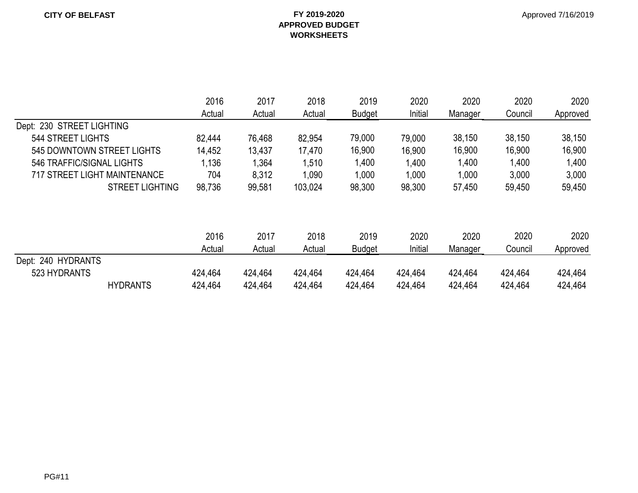|                                     | 2016    | 2017    | 2018    | 2019          | 2020    | 2020    | 2020    | 2020     |
|-------------------------------------|---------|---------|---------|---------------|---------|---------|---------|----------|
|                                     | Actual  | Actual  | Actual  | <b>Budget</b> | Initial | Manager | Council | Approved |
| Dept: 230 STREET LIGHTING           |         |         |         |               |         |         |         |          |
| 544 STREET LIGHTS                   | 82,444  | 76,468  | 82,954  | 79,000        | 79,000  | 38,150  | 38,150  | 38,150   |
| 545 DOWNTOWN STREET LIGHTS          | 14,452  | 13,437  | 17,470  | 16,900        | 16,900  | 16,900  | 16,900  | 16,900   |
| 546 TRAFFIC/SIGNAL LIGHTS           | 1,136   | 1,364   | 1,510   | 1,400         | 1,400   | 1,400   | 1,400   | 1,400    |
| <b>717 STREET LIGHT MAINTENANCE</b> | 704     | 8,312   | 1,090   | 1,000         | 1,000   | 1,000   | 3,000   | 3,000    |
| <b>STREET LIGHTING</b>              | 98,736  | 99,581  | 103,024 | 98,300        | 98,300  | 57,450  | 59,450  | 59,450   |
|                                     |         |         |         |               |         |         |         |          |
|                                     | 2016    | 2017    | 2018    | 2019          | 2020    | 2020    | 2020    | 2020     |
|                                     | Actual  | Actual  | Actual  | <b>Budget</b> | Initial | Manager | Council | Approved |
| Dept: 240 HYDRANTS                  |         |         |         |               |         |         |         |          |
| 523 HYDRANTS                        | 424,464 | 424,464 | 424,464 | 424,464       | 424,464 | 424,464 | 424,464 | 424,464  |
| <b>HYDRANTS</b>                     | 424,464 | 424.464 | 424,464 | 424,464       | 424,464 | 424,464 | 424,464 | 424,464  |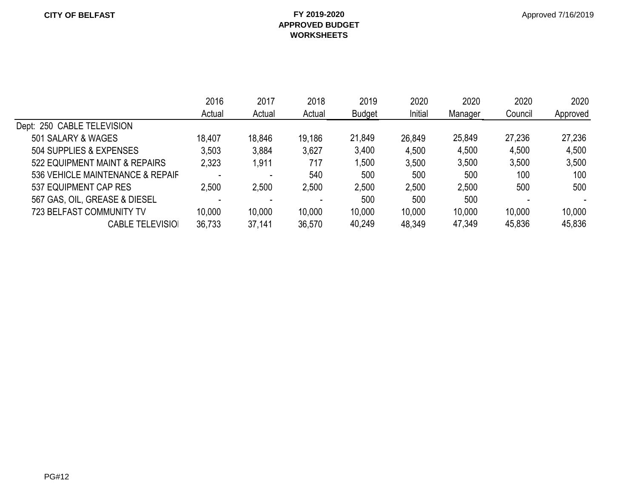|                                  | 2016   | 2017   | 2018   | 2019   | 2020    | 2020    | 2020<br>Council | 2020<br>Approved |
|----------------------------------|--------|--------|--------|--------|---------|---------|-----------------|------------------|
|                                  | Actual | Actual | Actual | Budget | Initial | Manager |                 |                  |
| Dept: 250 CABLE TELEVISION       |        |        |        |        |         |         |                 |                  |
| 501 SALARY & WAGES               | 18,407 | 18,846 | 19,186 | 21,849 | 26,849  | 25,849  | 27,236          | 27,236           |
| 504 SUPPLIES & EXPENSES          | 3,503  | 3,884  | 3,627  | 3,400  | 4,500   | 4,500   | 4,500           | 4,500            |
| 522 EQUIPMENT MAINT & REPAIRS    | 2,323  | 1,911  | 717    | ,500   | 3,500   | 3,500   | 3,500           | 3,500            |
| 536 VEHICLE MAINTENANCE & REPAIF |        |        | 540    | 500    | 500     | 500     | 100             | 100              |
| 537 EQUIPMENT CAP RES            | 2,500  | 2,500  | 2,500  | 2,500  | 2,500   | 2,500   | 500             | 500              |
| 567 GAS, OIL, GREASE & DIESEL    | -      |        |        | 500    | 500     | 500     |                 |                  |
| <b>723 BELFAST COMMUNITY TV</b>  | 10,000 | 10,000 | 10,000 | 10,000 | 10,000  | 10,000  | 10,000          | 10,000           |
| <b>CABLE TELEVISIO</b>           | 36,733 | 37,141 | 36,570 | 40,249 | 48,349  | 47,349  | 45,836          | 45,836           |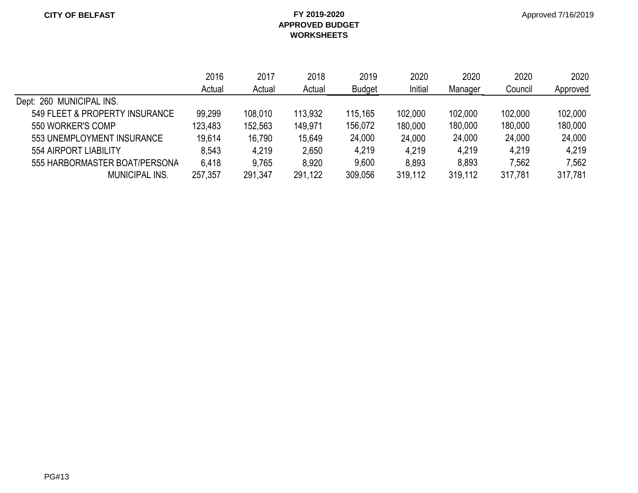|                                | 2016<br>Actual | 2017    | 2018    | 2019          | 2020    | 2020    | 2020    | 2020<br>Approved |
|--------------------------------|----------------|---------|---------|---------------|---------|---------|---------|------------------|
|                                |                | Actual  | Actual  | <b>Budget</b> | Initial | Manager | Council |                  |
| Dept: 260 MUNICIPAL INS.       |                |         |         |               |         |         |         |                  |
| 549 FLEET & PROPERTY INSURANCE | 99,299         | 108,010 | 113,932 | 115,165       | 102,000 | 102,000 | 102,000 | 102,000          |
| 550 WORKER'S COMP              | 123,483        | 152,563 | 149.971 | 156,072       | 180,000 | 180,000 | 180,000 | 180,000          |
| 553 UNEMPLOYMENT INSURANCE     | 19,614         | 16,790  | 15,649  | 24,000        | 24,000  | 24,000  | 24,000  | 24,000           |
| 554 AIRPORT LIABILITY          | 8,543          | 4.219   | 2,650   | 4,219         | 4,219   | 4.219   | 4,219   | 4,219            |
| 555 HARBORMASTER BOAT/PERSONA  | 6,418          | 9,765   | 8,920   | 9,600         | 8,893   | 8,893   | 7,562   | 7,562            |
| <b>MUNICIPAL INS.</b>          | 257,357        | 291,347 | 291,122 | 309,056       | 319,112 | 319,112 | 317,781 | 317,781          |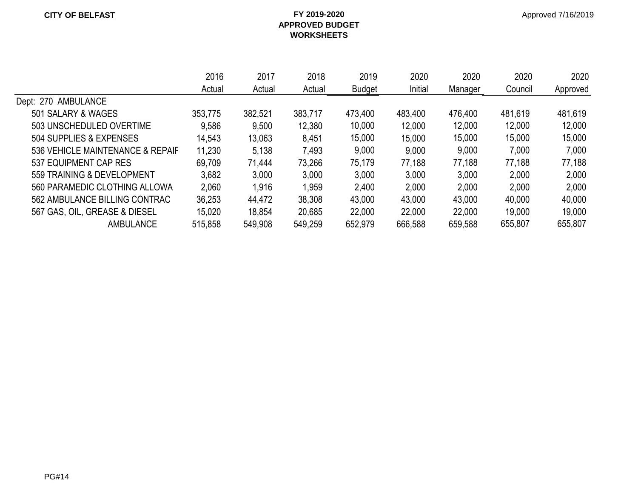|                                  | 2016    | 2017    | 2018    | 2019    | 2020    | 2020    | 2020    | 2020     |
|----------------------------------|---------|---------|---------|---------|---------|---------|---------|----------|
|                                  | Actual  | Actual  | Actual  | Budget  | Initial | Manager | Council | Approved |
| Dept: 270 AMBULANCE              |         |         |         |         |         |         |         |          |
| 501 SALARY & WAGES               | 353,775 | 382,521 | 383,717 | 473,400 | 483,400 | 476,400 | 481,619 | 481,619  |
| 503 UNSCHEDULED OVERTIME         | 9,586   | 9,500   | 12,380  | 10,000  | 12,000  | 12,000  | 12,000  | 12,000   |
| 504 SUPPLIES & EXPENSES          | 14,543  | 13,063  | 8,451   | 15,000  | 15,000  | 15,000  | 15,000  | 15,000   |
| 536 VEHICLE MAINTENANCE & REPAIF | 11,230  | 5,138   | 7,493   | 9,000   | 9,000   | 9,000   | 7,000   | 7,000    |
| 537 EQUIPMENT CAP RES            | 69,709  | 71,444  | 73,266  | 75,179  | 77,188  | 77,188  | 77,188  | 77,188   |
| 559 TRAINING & DEVELOPMENT       | 3,682   | 3,000   | 3,000   | 3,000   | 3,000   | 3,000   | 2,000   | 2,000    |
| 560 PARAMEDIC CLOTHING ALLOWA    | 2,060   | 1,916   | 1,959   | 2,400   | 2,000   | 2,000   | 2,000   | 2,000    |
| 562 AMBULANCE BILLING CONTRAC    | 36,253  | 44,472  | 38,308  | 43,000  | 43,000  | 43,000  | 40,000  | 40,000   |
| 567 GAS, OIL, GREASE & DIESEL    | 15,020  | 18.854  | 20,685  | 22,000  | 22,000  | 22,000  | 19,000  | 19,000   |
| <b>AMBULANCE</b>                 | 515,858 | 549,908 | 549,259 | 652,979 | 666,588 | 659,588 | 655,807 | 655,807  |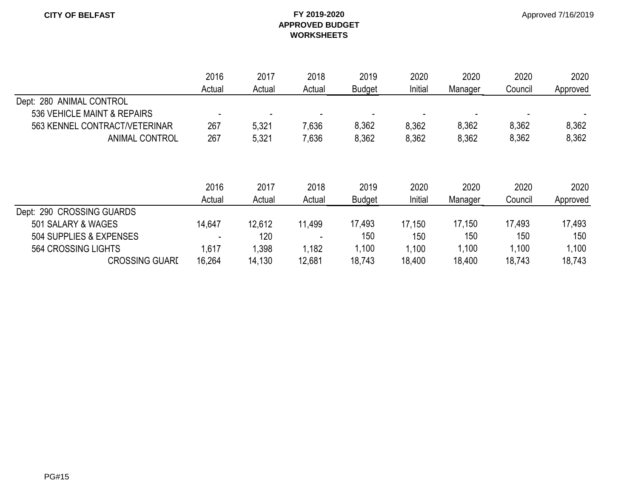|                               | 2016   | 2017                     | 2018   | 2019          | 2020    | 2020    | 2020    | 2020     |
|-------------------------------|--------|--------------------------|--------|---------------|---------|---------|---------|----------|
|                               | Actual | Actual                   | Actual | <b>Budget</b> | Initial | Manager | Council | Approved |
| Dept: 280 ANIMAL CONTROL      |        |                          |        |               |         |         |         |          |
| 536 VEHICLE MAINT & REPAIRS   |        | $\overline{\phantom{a}}$ |        |               |         |         |         |          |
| 563 KENNEL CONTRACT/VETERINAR | 267    | 5,321                    | 7,636  | 8,362         | 8,362   | 8,362   | 8,362   | 8,362    |
| <b>ANIMAL CONTROL</b>         | 267    | 5,321                    | 7,636  | 8,362         | 8,362   | 8,362   | 8,362   | 8,362    |
|                               |        |                          |        |               |         |         |         |          |
|                               | 2016   | 2017                     | 2018   | 2019          | 2020    | 2020    | 2020    | 2020     |
|                               | Actual | Actual                   | Actual | <b>Budget</b> | Initial | Manager | Council | Approved |
| Dept: 290 CROSSING GUARDS     |        |                          |        |               |         |         |         |          |
| 501 SALARY & WAGES            | 14,647 | 12,612                   | 11,499 | 17,493        | 17,150  | 17,150  | 17,493  | 17,493   |
| 504 SUPPLIES & EXPENSES       |        | 120                      |        | 150           | 150     | 150     | 150     | 150      |
| 564 CROSSING LIGHTS           | 1,617  | 1,398                    | 1,182  | 1,100         | 1,100   | 1,100   | 1,100   | 1,100    |
| <b>CROSSING GUARI</b>         | 16,264 | 14,130                   | 12,681 | 18,743        | 18,400  | 18,400  | 18,743  | 18,743   |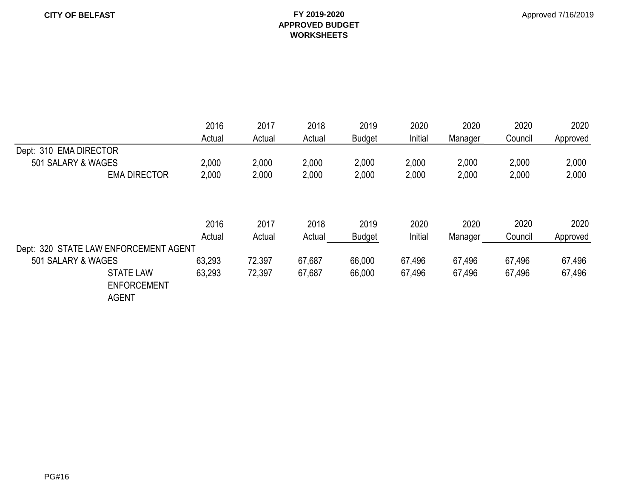#### Approved 7/16/2019

|                                        | 2016   | 2017   | 2018   | 2019          | 2020    | 2020    | 2020    | 2020     |
|----------------------------------------|--------|--------|--------|---------------|---------|---------|---------|----------|
|                                        | Actual | Actual | Actual | <b>Budget</b> | Initial | Manager | Council | Approved |
| Dept: 310 EMA DIRECTOR                 |        |        |        |               |         |         |         |          |
| 501 SALARY & WAGES                     | 2,000  | 2,000  | 2,000  | 2,000         | 2,000   | 2,000   | 2,000   | 2,000    |
| <b>EMA DIRECTOR</b>                    | 2,000  | 2,000  | 2,000  | 2,000         | 2,000   | 2,000   | 2,000   | 2,000    |
|                                        |        |        |        |               |         |         |         |          |
|                                        | 2016   | 2017   | 2018   | 2019          | 2020    | 2020    | 2020    | 2020     |
|                                        | Actual | Actual | Actual | <b>Budget</b> | Initial | Manager | Council | Approved |
| Dept: 320 STATE LAW ENFORCEMENT AGENT  |        |        |        |               |         |         |         |          |
| 501 SALARY & WAGES                     | 63,293 | 72,397 | 67,687 | 66,000        | 67,496  | 67,496  | 67,496  | 67,496   |
| <b>STATE LAW</b><br><b>ENFORCEMENT</b> | 63,293 | 72,397 | 67,687 | 66,000        | 67,496  | 67,496  | 67,496  | 67,496   |
| <b>AGENT</b>                           |        |        |        |               |         |         |         |          |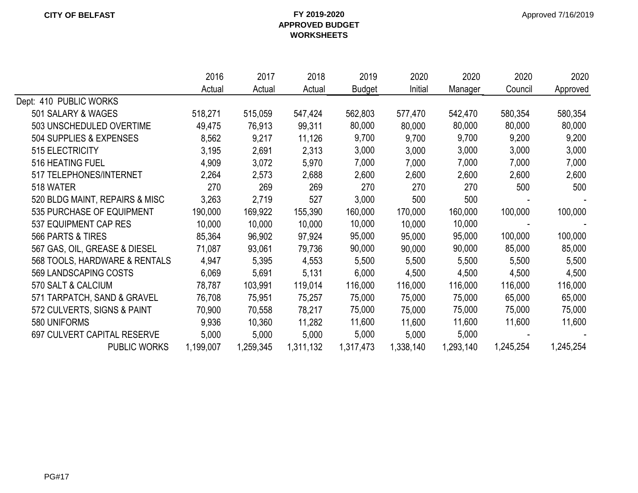|                                | 2016      | 2017      | 2018      | 2019          | 2020      | 2020      | 2020      | 2020      |
|--------------------------------|-----------|-----------|-----------|---------------|-----------|-----------|-----------|-----------|
|                                | Actual    | Actual    | Actual    | <b>Budget</b> | Initial   | Manager   | Council   | Approved  |
| Dept: 410 PUBLIC WORKS         |           |           |           |               |           |           |           |           |
| 501 SALARY & WAGES             | 518,271   | 515,059   | 547,424   | 562,803       | 577,470   | 542,470   | 580,354   | 580,354   |
| 503 UNSCHEDULED OVERTIME       | 49,475    | 76,913    | 99,311    | 80,000        | 80,000    | 80,000    | 80,000    | 80,000    |
| 504 SUPPLIES & EXPENSES        | 8,562     | 9,217     | 11,126    | 9,700         | 9,700     | 9,700     | 9,200     | 9,200     |
| 515 ELECTRICITY                | 3,195     | 2,691     | 2,313     | 3,000         | 3,000     | 3,000     | 3,000     | 3,000     |
| 516 HEATING FUEL               | 4,909     | 3,072     | 5,970     | 7,000         | 7,000     | 7,000     | 7,000     | 7,000     |
| 517 TELEPHONES/INTERNET        | 2,264     | 2,573     | 2,688     | 2,600         | 2,600     | 2,600     | 2,600     | 2,600     |
| 518 WATER                      | 270       | 269       | 269       | 270           | 270       | 270       | 500       | 500       |
| 520 BLDG MAINT, REPAIRS & MISC | 3,263     | 2,719     | 527       | 3,000         | 500       | 500       |           |           |
| 535 PURCHASE OF EQUIPMENT      | 190,000   | 169,922   | 155,390   | 160,000       | 170,000   | 160,000   | 100,000   | 100,000   |
| 537 EQUIPMENT CAP RES          | 10,000    | 10,000    | 10,000    | 10,000        | 10,000    | 10,000    |           |           |
| 566 PARTS & TIRES              | 85,364    | 96,902    | 97,924    | 95,000        | 95,000    | 95,000    | 100,000   | 100,000   |
| 567 GAS, OIL, GREASE & DIESEL  | 71,087    | 93,061    | 79,736    | 90,000        | 90,000    | 90,000    | 85,000    | 85,000    |
| 568 TOOLS, HARDWARE & RENTALS  | 4,947     | 5,395     | 4,553     | 5,500         | 5,500     | 5,500     | 5,500     | 5,500     |
| 569 LANDSCAPING COSTS          | 6,069     | 5,691     | 5,131     | 6,000         | 4,500     | 4,500     | 4,500     | 4,500     |
| 570 SALT & CALCIUM             | 78,787    | 103,991   | 119,014   | 116,000       | 116,000   | 116,000   | 116,000   | 116,000   |
| 571 TARPATCH, SAND & GRAVEL    | 76,708    | 75,951    | 75,257    | 75,000        | 75,000    | 75,000    | 65,000    | 65,000    |
| 572 CULVERTS, SIGNS & PAINT    | 70,900    | 70,558    | 78,217    | 75,000        | 75,000    | 75,000    | 75,000    | 75,000    |
| 580 UNIFORMS                   | 9,936     | 10,360    | 11,282    | 11,600        | 11,600    | 11,600    | 11,600    | 11,600    |
| 697 CULVERT CAPITAL RESERVE    | 5,000     | 5,000     | 5,000     | 5,000         | 5,000     | 5,000     |           |           |
| <b>PUBLIC WORKS</b>            | 1,199,007 | 1,259,345 | 1,311,132 | 1,317,473     | 1,338,140 | 1,293,140 | 1,245,254 | 1,245,254 |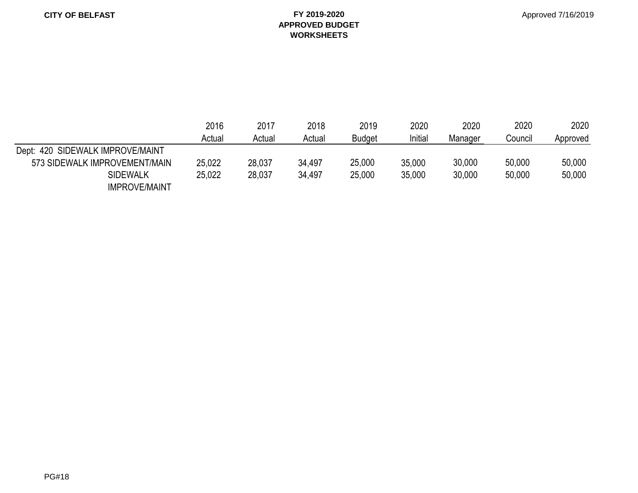#### **CITY OF BELFAST FY 2019-2020 APPROVED BUDGET WORKSHEETS**

|                                  | 2016   | 2017   | 2018   | 2019          | 2020    | 2020    | 2020    | 2020     |
|----------------------------------|--------|--------|--------|---------------|---------|---------|---------|----------|
|                                  | Actual | Actual | Actual | <b>Budget</b> | Initial | Manager | Council | Approved |
| Dept: 420 SIDEWALK IMPROVE/MAINT |        |        |        |               |         |         |         |          |
| 573 SIDEWALK IMPROVEMENT/MAIN    | 25,022 | 28,037 | 34,497 | 25,000        | 35,000  | 30,000  | 50,000  | 50,000   |
| <b>SIDEWALK</b>                  | 25,022 | 28,037 | 34.497 | 25,000        | 35,000  | 30,000  | 50,000  | 50,000   |
| <b>IMPROVE/MAINT</b>             |        |        |        |               |         |         |         |          |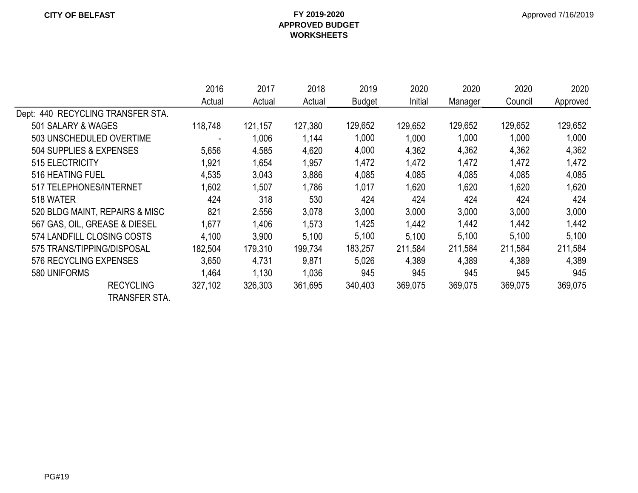|                                   | 2016    | 2017    | 2018    | 2019          | 2020    | 2020    | 2020    | 2020     |
|-----------------------------------|---------|---------|---------|---------------|---------|---------|---------|----------|
|                                   | Actual  | Actual  | Actual  | <b>Budget</b> | Initial | Manager | Council | Approved |
| Dept: 440 RECYCLING TRANSFER STA. |         |         |         |               |         |         |         |          |
| 501 SALARY & WAGES                | 118,748 | 121,157 | 127,380 | 129,652       | 129,652 | 129,652 | 129,652 | 129,652  |
| 503 UNSCHEDULED OVERTIME          |         | 1,006   | 1,144   | 1,000         | 1,000   | 1,000   | 1,000   | 1,000    |
| 504 SUPPLIES & EXPENSES           | 5,656   | 4,585   | 4,620   | 4,000         | 4,362   | 4,362   | 4,362   | 4,362    |
| 515 ELECTRICITY                   | 1,921   | 1,654   | 1,957   | 1,472         | 1,472   | 1,472   | 1,472   | 1,472    |
| 516 HEATING FUEL                  | 4,535   | 3,043   | 3,886   | 4,085         | 4,085   | 4,085   | 4,085   | 4,085    |
| 517 TELEPHONES/INTERNET           | 1,602   | 1,507   | 1,786   | 1,017         | 1,620   | 1,620   | 1,620   | 1,620    |
| 518 WATER                         | 424     | 318     | 530     | 424           | 424     | 424     | 424     | 424      |
| 520 BLDG MAINT, REPAIRS & MISC    | 821     | 2,556   | 3,078   | 3,000         | 3,000   | 3,000   | 3,000   | 3,000    |
| 567 GAS, OIL, GREASE & DIESEL     | 1,677   | 1,406   | 1,573   | 1,425         | 1,442   | 1,442   | 1,442   | 1,442    |
| 574 LANDFILL CLOSING COSTS        | 4,100   | 3,900   | 5,100   | 5,100         | 5,100   | 5,100   | 5,100   | 5,100    |
| 575 TRANS/TIPPING/DISPOSAL        | 182,504 | 179,310 | 199,734 | 183,257       | 211,584 | 211,584 | 211,584 | 211,584  |
| 576 RECYCLING EXPENSES            | 3,650   | 4,731   | 9,871   | 5,026         | 4,389   | 4,389   | 4,389   | 4,389    |
| 580 UNIFORMS                      | 1,464   | 1,130   | 1,036   | 945           | 945     | 945     | 945     | 945      |
| <b>RECYCLING</b>                  | 327,102 | 326,303 | 361,695 | 340,403       | 369,075 | 369,075 | 369,075 | 369,075  |
| TRANSFER STA.                     |         |         |         |               |         |         |         |          |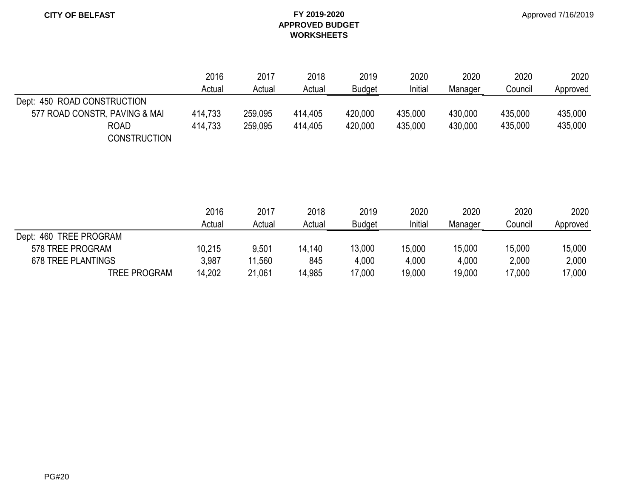|                               | 2016    | 2017    | 2018    | 2019          | 2020    | 2020    | 2020    | 2020     |
|-------------------------------|---------|---------|---------|---------------|---------|---------|---------|----------|
|                               | Actual  | Actual  | Actual  | <b>Budget</b> | Initial | Manager | Council | Approved |
| Dept: 450 ROAD CONSTRUCTION   |         |         |         |               |         |         |         |          |
| 577 ROAD CONSTR, PAVING & MAI | 414,733 | 259,095 | 414,405 | 420,000       | 435,000 | 430,000 | 435,000 | 435,000  |
| <b>ROAD</b>                   | 414.733 | 259,095 | 414.405 | 420,000       | 435,000 | 430.000 | 435.000 | 435,000  |
| <b>CONSTRUCTION</b>           |         |         |         |               |         |         |         |          |

|                           | 2016<br>Actual | 2017   | 2018   | 2019   | 2020          | 2020    | 2020    | 2020    |
|---------------------------|----------------|--------|--------|--------|---------------|---------|---------|---------|
|                           |                |        | Actual | Actual | <b>Budget</b> | Initial | Manager | Council |
| Dept: 460 TREE PROGRAM    |                |        |        |        |               |         |         |         |
| 578 TREE PROGRAM          | 10,215         | 9,501  | 14,140 | 13,000 | 15,000        | 15,000  | 15,000  | 15,000  |
| <b>678 TREE PLANTINGS</b> | 3,987          | 11,560 | 845    | 4,000  | 4,000         | 4,000   | 2,000   | 2,000   |
| <b>TREE PROGRAM</b>       | 14,202         | 21,061 | 14,985 | 17,000 | 19,000        | 19,000  | 17,000  | 17,000  |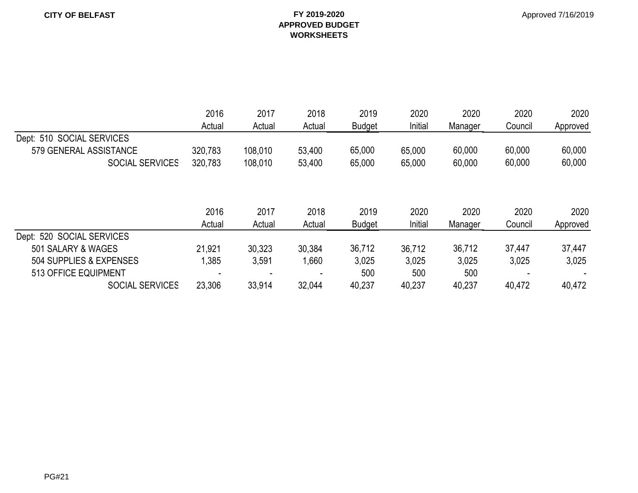|                           | 2016    | 2017    | 2018   | 2019          | 2020    | 2020    | 2020<br>Council | 2020<br>Approved |
|---------------------------|---------|---------|--------|---------------|---------|---------|-----------------|------------------|
|                           | Actual  | Actual  | Actual | <b>Budget</b> | Initial | Manager |                 |                  |
| Dept: 510 SOCIAL SERVICES |         |         |        |               |         |         |                 |                  |
| 579 GENERAL ASSISTANCE    | 320,783 | 108,010 | 53,400 | 65,000        | 65,000  | 60,000  | 60,000          | 60,000           |
| <b>SOCIAL SERVICES</b>    | 320,783 | 108,010 | 53,400 | 65,000        | 65,000  | 60,000  | 60,000          | 60,000           |
|                           |         |         |        |               |         |         |                 |                  |
|                           | 2016    | 2017    | 2018   | 2019          | 2020    | 2020    | 2020            | 2020             |
|                           | Actual  | Actual  | Actual | <b>Budget</b> | Initial | Manager | Council         | Approved         |
| Dept: 520 SOCIAL SERVICES |         |         |        |               |         |         |                 |                  |
| 501 SALARY & WAGES        | 21,921  | 30,323  | 30,384 | 36,712        | 36,712  | 36,712  | 37,447          | 37,447           |
| 504 SUPPLIES & EXPENSES   | ,385    | 3,591   | 1,660  | 3,025         | 3,025   | 3,025   | 3,025           | 3,025            |
| 513 OFFICE EQUIPMENT      |         |         |        | 500           | 500     | 500     |                 |                  |
| <b>SOCIAL SERVICES</b>    | 23,306  | 33,914  | 32,044 | 40,237        | 40,237  | 40,237  | 40,472          | 40,472           |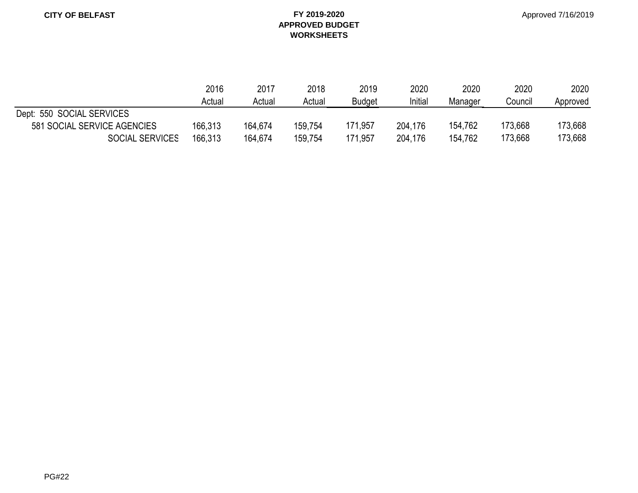|                             | 2016    | 2017    | 2018    | 2019          | 2020    | 2020    | 2020    | 2020     |
|-----------------------------|---------|---------|---------|---------------|---------|---------|---------|----------|
|                             | Actual  | Actual  | Actual  | <b>Budget</b> | Initial | Manager | Council | Approved |
| Dept: 550 SOCIAL SERVICES   |         |         |         |               |         |         |         |          |
| 581 SOCIAL SERVICE AGENCIES | 166,313 | 164,674 | 159,754 | 171,957       | 204,176 | 154,762 | 173,668 | 173,668  |
| <b>SOCIAL SERVICES</b>      | 166,313 | 164,674 | 159,754 | 171,957       | 204,176 | 154,762 | 173,668 | 173,668  |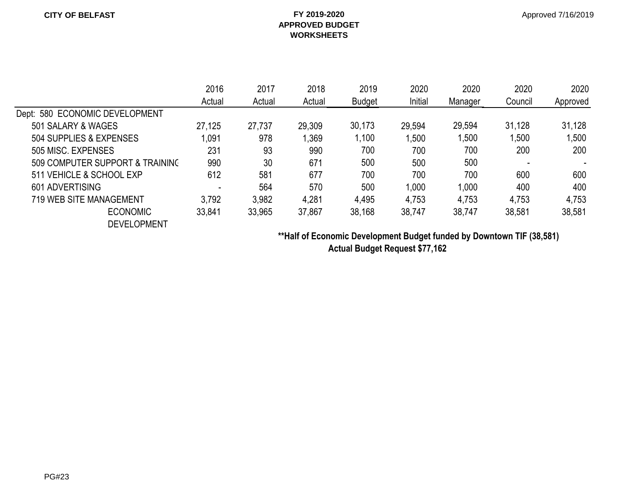|                                 | 2016                     | 2017   | 2018   | 2019          | 2020    | 2020    | 2020    | 2020     |
|---------------------------------|--------------------------|--------|--------|---------------|---------|---------|---------|----------|
|                                 | Actual                   | Actual | Actual | <b>Budget</b> | Initial | Manager | Council | Approved |
| Dept: 580 ECONOMIC DEVELOPMENT  |                          |        |        |               |         |         |         |          |
| 501 SALARY & WAGES              | 27,125                   | 27,737 | 29,309 | 30,173        | 29,594  | 29,594  | 31,128  | 31,128   |
| 504 SUPPLIES & EXPENSES         | ,091                     | 978    | ,369   | ,100          | 1,500   | 1,500   | ,500    | 1,500    |
| 505 MISC. EXPENSES              | 231                      | 93     | 990    | 700           | 700     | 700     | 200     | 200      |
| 509 COMPUTER SUPPORT & TRAINING | 990                      | 30     | 671    | 500           | 500     | 500     |         |          |
| 511 VEHICLE & SCHOOL EXP        | 612                      | 581    | 677    | 700           | 700     | 700     | 600     | 600      |
| 601 ADVERTISING                 | $\overline{\phantom{0}}$ | 564    | 570    | 500           | 1.000   | 1,000   | 400     | 400      |
| <b>719 WEB SITE MANAGEMENT</b>  | 3,792                    | 3,982  | 4,281  | 4,495         | 4,753   | 4,753   | 4,753   | 4,753    |
| <b>ECONOMIC</b>                 | 33,841                   | 33,965 | 37,867 | 38,168        | 38,747  | 38,747  | 38,581  | 38,581   |
| <b>DEVELOPMENT</b>              |                          |        |        |               |         |         |         |          |

**\*\*Half of Economic Development Budget funded by Downtown TIF (38,581) Actual Budget Request \$77,162**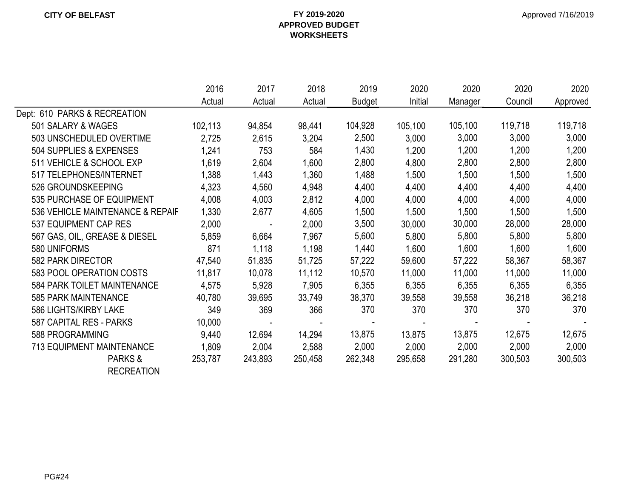|                                  | 2016    | 2017                     | 2018    | 2019          | 2020    | 2020    | 2020    | 2020     |
|----------------------------------|---------|--------------------------|---------|---------------|---------|---------|---------|----------|
|                                  | Actual  | Actual                   | Actual  | <b>Budget</b> | Initial | Manager | Council | Approved |
| Dept: 610 PARKS & RECREATION     |         |                          |         |               |         |         |         |          |
| 501 SALARY & WAGES               | 102,113 | 94,854                   | 98,441  | 104,928       | 105,100 | 105,100 | 119,718 | 119,718  |
| 503 UNSCHEDULED OVERTIME         | 2,725   | 2,615                    | 3,204   | 2,500         | 3,000   | 3,000   | 3,000   | 3,000    |
| 504 SUPPLIES & EXPENSES          | 1,241   | 753                      | 584     | 1,430         | 1,200   | 1,200   | 1,200   | 1,200    |
| 511 VEHICLE & SCHOOL EXP         | 1,619   | 2,604                    | 1,600   | 2,800         | 4,800   | 2,800   | 2,800   | 2,800    |
| 517 TELEPHONES/INTERNET          | 1,388   | 1,443                    | 1,360   | 1,488         | 1,500   | 1,500   | 1,500   | 1,500    |
| 526 GROUNDSKEEPING               | 4,323   | 4,560                    | 4,948   | 4,400         | 4,400   | 4,400   | 4,400   | 4,400    |
| 535 PURCHASE OF EQUIPMENT        | 4,008   | 4,003                    | 2,812   | 4,000         | 4,000   | 4,000   | 4,000   | 4,000    |
| 536 VEHICLE MAINTENANCE & REPAIF | 1,330   | 2,677                    | 4,605   | 1,500         | 1,500   | 1,500   | 1,500   | 1,500    |
| 537 EQUIPMENT CAP RES            | 2,000   | $\overline{\phantom{a}}$ | 2,000   | 3,500         | 30,000  | 30,000  | 28,000  | 28,000   |
| 567 GAS, OIL, GREASE & DIESEL    | 5,859   | 6,664                    | 7,967   | 5,600         | 5,800   | 5,800   | 5,800   | 5,800    |
| 580 UNIFORMS                     | 871     | 1,118                    | 1,198   | 1,440         | 1,600   | 1,600   | 1,600   | 1,600    |
| 582 PARK DIRECTOR                | 47,540  | 51,835                   | 51,725  | 57,222        | 59,600  | 57,222  | 58,367  | 58,367   |
| 583 POOL OPERATION COSTS         | 11,817  | 10,078                   | 11,112  | 10,570        | 11,000  | 11,000  | 11,000  | 11,000   |
| 584 PARK TOILET MAINTENANCE      | 4,575   | 5,928                    | 7,905   | 6,355         | 6,355   | 6,355   | 6,355   | 6,355    |
| <b>585 PARK MAINTENANCE</b>      | 40,780  | 39,695                   | 33,749  | 38,370        | 39,558  | 39,558  | 36,218  | 36,218   |
| 586 LIGHTS/KIRBY LAKE            | 349     | 369                      | 366     | 370           | 370     | 370     | 370     | 370      |
| 587 CAPITAL RES - PARKS          | 10,000  |                          |         |               |         |         |         |          |
| 588 PROGRAMMING                  | 9,440   | 12,694                   | 14,294  | 13,875        | 13,875  | 13,875  | 12,675  | 12,675   |
| <b>713 EQUIPMENT MAINTENANCE</b> | 1,809   | 2,004                    | 2,588   | 2,000         | 2,000   | 2,000   | 2,000   | 2,000    |
| PARKS&                           | 253,787 | 243,893                  | 250,458 | 262,348       | 295,658 | 291,280 | 300,503 | 300,503  |
| <b>RECREATION</b>                |         |                          |         |               |         |         |         |          |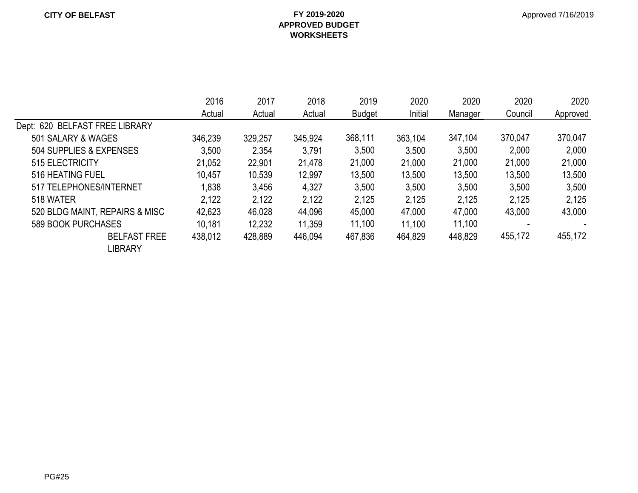|                                | 2016    | 2017    | 2018    | 2019          | 2020    | 2020    | 2020    | 2020     |
|--------------------------------|---------|---------|---------|---------------|---------|---------|---------|----------|
|                                | Actual  | Actual  | Actual  | <b>Budget</b> | Initial | Manager | Council | Approved |
| Dept: 620 BELFAST FREE LIBRARY |         |         |         |               |         |         |         |          |
| 501 SALARY & WAGES             | 346,239 | 329,257 | 345,924 | 368,111       | 363,104 | 347,104 | 370,047 | 370,047  |
| 504 SUPPLIES & EXPENSES        | 3,500   | 2,354   | 3,791   | 3,500         | 3,500   | 3,500   | 2,000   | 2,000    |
| 515 ELECTRICITY                | 21,052  | 22,901  | 21,478  | 21,000        | 21,000  | 21,000  | 21,000  | 21,000   |
| 516 HEATING FUEL               | 10,457  | 10,539  | 12,997  | 13,500        | 13,500  | 13,500  | 13,500  | 13,500   |
| 517 TELEPHONES/INTERNET        | .838    | 3,456   | 4,327   | 3,500         | 3,500   | 3,500   | 3,500   | 3,500    |
| 518 WATER                      | 2,122   | 2,122   | 2,122   | 2,125         | 2,125   | 2.125   | 2,125   | 2,125    |
| 520 BLDG MAINT, REPAIRS & MISC | 42,623  | 46,028  | 44,096  | 45,000        | 47,000  | 47,000  | 43,000  | 43,000   |
| 589 BOOK PURCHASES             | 10,181  | 12,232  | 11.359  | 11,100        | 11,100  | 11,100  |         |          |
| <b>BELFAST FREE</b><br>LIBRARY | 438,012 | 428,889 | 446,094 | 467,836       | 464,829 | 448,829 | 455,172 | 455,172  |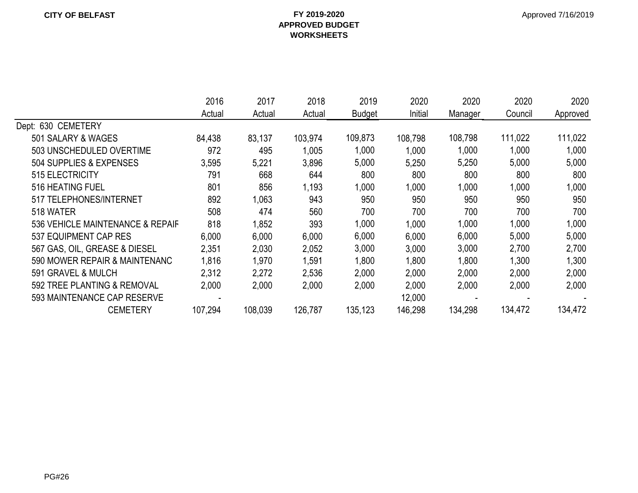|                                  | 2016    | 2017    | 2018    | 2019          | 2020    | 2020    | 2020    | 2020     |
|----------------------------------|---------|---------|---------|---------------|---------|---------|---------|----------|
|                                  | Actual  | Actual  | Actual  | <b>Budget</b> | Initial | Manager | Council | Approved |
| Dept: 630 CEMETERY               |         |         |         |               |         |         |         |          |
| 501 SALARY & WAGES               | 84,438  | 83,137  | 103,974 | 109,873       | 108,798 | 108,798 | 111,022 | 111,022  |
| 503 UNSCHEDULED OVERTIME         | 972     | 495     | 1,005   | 1,000         | 1,000   | 1,000   | 1,000   | 1,000    |
| 504 SUPPLIES & EXPENSES          | 3,595   | 5,221   | 3,896   | 5,000         | 5,250   | 5,250   | 5,000   | 5,000    |
| 515 ELECTRICITY                  | 791     | 668     | 644     | 800           | 800     | 800     | 800     | 800      |
| 516 HEATING FUEL                 | 801     | 856     | 1,193   | 1,000         | 1,000   | 1,000   | 1,000   | 1,000    |
| 517 TELEPHONES/INTERNET          | 892     | 1,063   | 943     | 950           | 950     | 950     | 950     | 950      |
| 518 WATER                        | 508     | 474     | 560     | 700           | 700     | 700     | 700     | 700      |
| 536 VEHICLE MAINTENANCE & REPAIF | 818     | 1,852   | 393     | 1,000         | 1,000   | 1,000   | 1,000   | 1,000    |
| 537 EQUIPMENT CAP RES            | 6,000   | 6,000   | 6,000   | 6,000         | 6,000   | 6,000   | 5,000   | 5,000    |
| 567 GAS, OIL, GREASE & DIESEL    | 2,351   | 2,030   | 2,052   | 3,000         | 3,000   | 3,000   | 2,700   | 2,700    |
| 590 MOWER REPAIR & MAINTENANC    | 1,816   | 1,970   | 1,591   | 1,800         | 1,800   | 1,800   | 1,300   | 1,300    |
| 591 GRAVEL & MULCH               | 2,312   | 2,272   | 2,536   | 2,000         | 2,000   | 2,000   | 2,000   | 2,000    |
| 592 TREE PLANTING & REMOVAL      | 2,000   | 2,000   | 2,000   | 2,000         | 2,000   | 2,000   | 2,000   | 2,000    |
| 593 MAINTENANCE CAP RESERVE      |         |         |         |               | 12,000  |         |         |          |
| <b>CEMETERY</b>                  | 107,294 | 108,039 | 126,787 | 135,123       | 146,298 | 134,298 | 134,472 | 134,472  |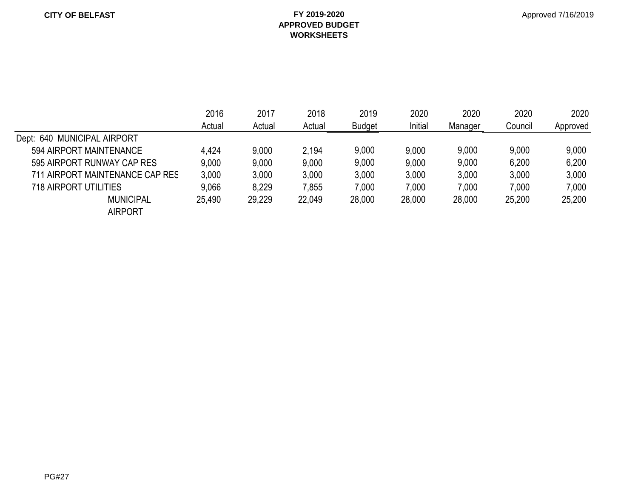#### **CITY OF BELFAST FY 2019-2020 APPROVED BUDGET WORKSHEETS**

|                                 | 2016<br>Actual | 2017<br>Actual | 2018<br>Actual | 2019<br><b>Budget</b> | 2020<br>Initial | 2020<br>Manager | 2020<br>Council | 2020<br>Approved |
|---------------------------------|----------------|----------------|----------------|-----------------------|-----------------|-----------------|-----------------|------------------|
| Dept: 640 MUNICIPAL AIRPORT     |                |                |                |                       |                 |                 |                 |                  |
| 594 AIRPORT MAINTENANCE         | 4,424          | 9,000          | 2,194          | 9,000                 | 9,000           | 9,000           | 9,000           | 9,000            |
| 595 AIRPORT RUNWAY CAP RES      | 9,000          | 9,000          | 9,000          | 9,000                 | 9,000           | 9,000           | 6,200           | 6,200            |
| 711 AIRPORT MAINTENANCE CAP RES | 3,000          | 3,000          | 3,000          | 3,000                 | 3,000           | 3,000           | 3,000           | 3,000            |
| 718 AIRPORT UTILITIES           | 9,066          | 8,229          | 7,855          | 7,000                 | 7,000           | 7,000           | 7,000           | 7,000            |
| <b>MUNICIPAL</b>                | 25,490         | 29,229         | 22,049         | 28,000                | 28,000          | 28,000          | 25,200          | 25,200           |
| <b>AIRPORT</b>                  |                |                |                |                       |                 |                 |                 |                  |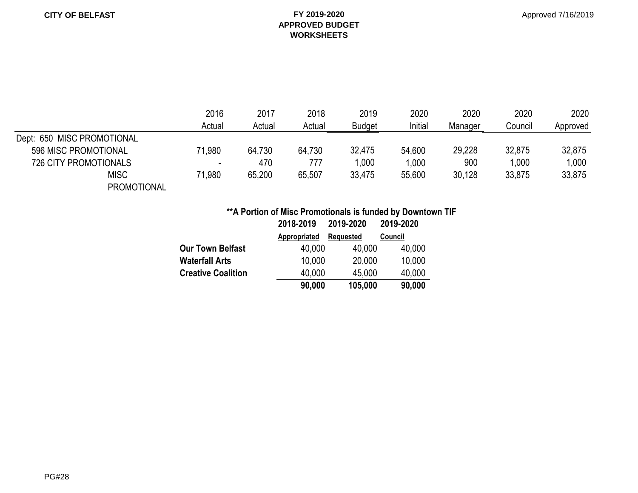#### Approved 7/16/2019

#### **APPROVED BUDGET WORKSHEETS**

|                              | 2016                     | 2017   | 2018   | 2019          | 2020    | 2020    | 2020    | 2020     |
|------------------------------|--------------------------|--------|--------|---------------|---------|---------|---------|----------|
|                              | Actual                   | Actual | Actual | <b>Budget</b> | Initial | Manager | Council | Approved |
| Dept: 650 MISC PROMOTIONAL   |                          |        |        |               |         |         |         |          |
| 596 MISC PROMOTIONAL         | 71,980                   | 64,730 | 64,730 | 32,475        | 54,600  | 29,228  | 32,875  | 32,875   |
| <b>726 CITY PROMOTIONALS</b> | $\overline{\phantom{0}}$ | 470    | 777    | 000.          | 1,000   | 900     | 1.000   | 1,000    |
| <b>MISC</b>                  | 71,980                   | 65,200 | 65,507 | 33,475        | 55,600  | 30,128  | 33,875  | 33,875   |
| <b>PROMOTIONAL</b>           |                          |        |        |               |         |         |         |          |

#### **\*\*A Portion of Misc Promotionals is funded by Downtown TIF**

|                           | 2018-2019    | 2019-2020        | 2019-2020 |
|---------------------------|--------------|------------------|-----------|
|                           | Appropriated | <b>Requested</b> | Council   |
| <b>Our Town Belfast</b>   | 40,000       | 40,000           | 40,000    |
| <b>Waterfall Arts</b>     | 10,000       | 20,000           | 10,000    |
| <b>Creative Coalition</b> | 40,000       | 45,000           | 40,000    |
|                           | 90,000       | 105,000          | 90,000    |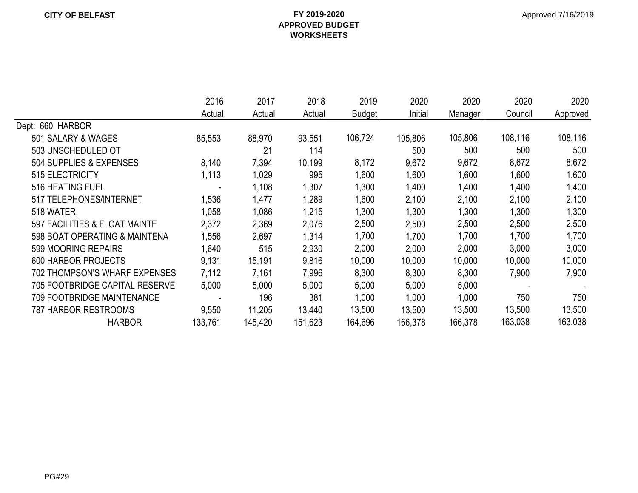|                                      | 2016    | 2017    | 2018    | 2019          | 2020    | 2020    | 2020    | 2020     |
|--------------------------------------|---------|---------|---------|---------------|---------|---------|---------|----------|
|                                      | Actual  | Actual  | Actual  | <b>Budget</b> | Initial | Manager | Council | Approved |
| Dept: 660 HARBOR                     |         |         |         |               |         |         |         |          |
| 501 SALARY & WAGES                   | 85,553  | 88,970  | 93,551  | 106,724       | 105,806 | 105,806 | 108,116 | 108,116  |
| 503 UNSCHEDULED OT                   |         | 21      | 114     |               | 500     | 500     | 500     | 500      |
| 504 SUPPLIES & EXPENSES              | 8,140   | 7,394   | 10,199  | 8,172         | 9,672   | 9,672   | 8,672   | 8,672    |
| 515 ELECTRICITY                      | 1,113   | 1,029   | 995     | 1,600         | 1,600   | 1,600   | 1,600   | 1,600    |
| 516 HEATING FUEL                     |         | 1,108   | 1,307   | 1,300         | 1,400   | 1,400   | 1,400   | 1,400    |
| 517 TELEPHONES/INTERNET              | 1,536   | 1,477   | 1,289   | 1,600         | 2,100   | 2,100   | 2,100   | 2,100    |
| 518 WATER                            | 1,058   | 1,086   | 1,215   | 1,300         | 1,300   | 1,300   | 1,300   | 1,300    |
| 597 FACILITIES & FLOAT MAINTE        | 2,372   | 2,369   | 2,076   | 2,500         | 2,500   | 2,500   | 2,500   | 2,500    |
| 598 BOAT OPERATING & MAINTENA        | ,556    | 2,697   | 1,314   | 1,700         | 1,700   | 1,700   | 1,700   | 1,700    |
| 599 MOORING REPAIRS                  | 1,640   | 515     | 2,930   | 2,000         | 2,000   | 2,000   | 3,000   | 3,000    |
| <b>600 HARBOR PROJECTS</b>           | 9,131   | 15,191  | 9,816   | 10,000        | 10,000  | 10,000  | 10,000  | 10,000   |
| <b>702 THOMPSON'S WHARF EXPENSES</b> | 7,112   | 7,161   | 7,996   | 8,300         | 8,300   | 8,300   | 7,900   | 7,900    |
| 705 FOOTBRIDGE CAPITAL RESERVE       | 5,000   | 5,000   | 5,000   | 5,000         | 5,000   | 5,000   |         |          |
| <b>709 FOOTBRIDGE MAINTENANCE</b>    |         | 196     | 381     | 1,000         | 1,000   | 1,000   | 750     | 750      |
| <b>787 HARBOR RESTROOMS</b>          | 9,550   | 11,205  | 13,440  | 13,500        | 13,500  | 13,500  | 13,500  | 13,500   |
| <b>HARBOR</b>                        | 133,761 | 145,420 | 151,623 | 164,696       | 166,378 | 166,378 | 163,038 | 163,038  |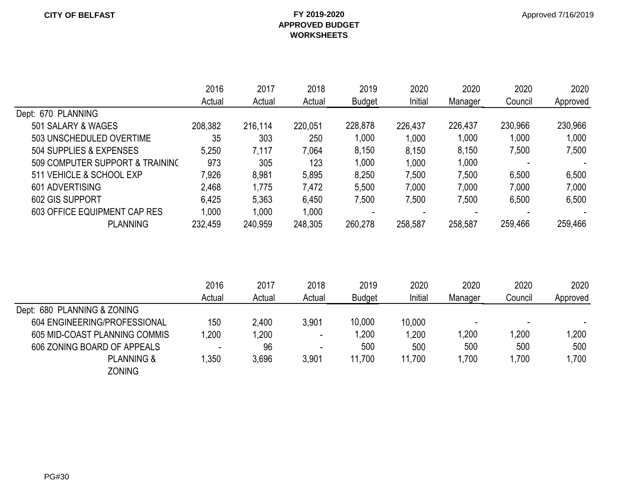|                                 | 2016    | 2017    | 2018    | 2019    | 2020    | 2020    | 2020    | 2020     |
|---------------------------------|---------|---------|---------|---------|---------|---------|---------|----------|
|                                 | Actual  | Actual  | Actual  | Budget  | Initial | Manager | Council | Approved |
| Dept: 670 PLANNING              |         |         |         |         |         |         |         |          |
| 501 SALARY & WAGES              | 208,382 | 216,114 | 220,051 | 228,878 | 226,437 | 226,437 | 230,966 | 230,966  |
| 503 UNSCHEDULED OVERTIME        | 35      | 303     | 250     | 1,000   | 1,000   | 1,000   | 1,000   | 1,000    |
| 504 SUPPLIES & EXPENSES         | 5,250   | 7,117   | 7,064   | 8,150   | 8,150   | 8,150   | 7,500   | 7,500    |
| 509 COMPUTER SUPPORT & TRAINING | 973     | 305     | 123     | 1,000   | 1,000   | 1,000   |         |          |
| 511 VEHICLE & SCHOOL EXP        | 7,926   | 8,981   | 5,895   | 8,250   | 7,500   | 7,500   | 6,500   | 6,500    |
| 601 ADVERTISING                 | 2,468   | 1,775   | 7,472   | 5,500   | 7,000   | 7,000   | 7,000   | 7,000    |
| 602 GIS SUPPORT                 | 6,425   | 5,363   | 6,450   | 7,500   | 7,500   | 7,500   | 6,500   | 6,500    |
| 603 OFFICE EQUIPMENT CAP RES    | 1,000   | 1,000   | 1,000   |         |         |         |         |          |
| <b>PLANNING</b>                 | 232,459 | 240,959 | 248,305 | 260,278 | 258,587 | 258,587 | 259,466 | 259,466  |

|                               | 2016<br>Actual           | 2017<br>Actual | 2018<br>Actual           | 2019<br><b>Budget</b> | 2020<br>Initial | 2020<br>Manager | 2020<br>Council | 2020<br>Approved |
|-------------------------------|--------------------------|----------------|--------------------------|-----------------------|-----------------|-----------------|-----------------|------------------|
| Dept: 680 PLANNING & ZONING   |                          |                |                          |                       |                 |                 |                 |                  |
| 604 ENGINEERING/PROFESSIONAL  | 150                      | 2,400          | 3.901                    | 10,000                | 10,000          |                 |                 |                  |
| 605 MID-COAST PLANNING COMMIS | ,200                     | 1,200          | $\overline{\phantom{a}}$ | ,200                  | 1,200           | ,200            | .200            | 1,200            |
| 606 ZONING BOARD OF APPEALS   | $\overline{\phantom{a}}$ | 96             |                          | 500                   | 500             | 500             | 500             | 500              |
| <b>PLANNING &amp;</b>         | ,350                     | 3,696          | 3,901                    | 11,700                | 11,700          | ,700            | ,700            | .700             |
| <b>ZONING</b>                 |                          |                |                          |                       |                 |                 |                 |                  |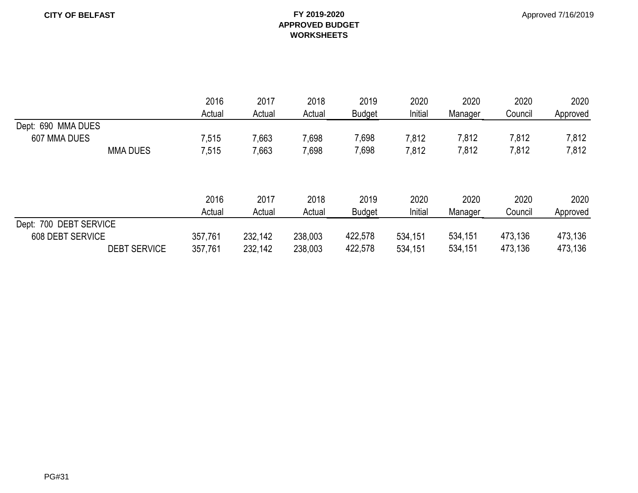|                        | 2016<br>Actual | 2017<br>Actual | 2018<br>Actual | 2019<br><b>Budget</b> | 2020<br>Initial | 2020<br>Manager | 2020<br>Council | 2020<br>Approved |
|------------------------|----------------|----------------|----------------|-----------------------|-----------------|-----------------|-----------------|------------------|
| Dept: 690 MMA DUES     |                |                |                |                       |                 |                 |                 |                  |
| 607 MMA DUES           | 7,515          | 7,663          | 7,698          | 7,698                 | 7,812           | 7,812           | 7,812           | 7,812            |
| <b>MMA DUES</b>        | 7,515          | 7,663          | 7,698          | 7,698                 | 7,812           | 7,812           | 7,812           | 7,812            |
|                        | 2016           | 2017           | 2018           | 2019                  | 2020            | 2020            | 2020            | 2020             |
|                        | Actual         | Actual         | Actual         | <b>Budget</b>         | Initial         | Manager         | Council         | Approved         |
| Dept: 700 DEBT SERVICE |                |                |                |                       |                 |                 |                 |                  |
| 608 DEBT SERVICE       | 357,761        | 232,142        | 238,003        | 422,578               | 534,151         | 534,151         | 473,136         | 473,136          |
| <b>DEBT SERVICE</b>    | 357,761        | 232,142        | 238,003        | 422,578               | 534,151         | 534,151         | 473,136         | 473,136          |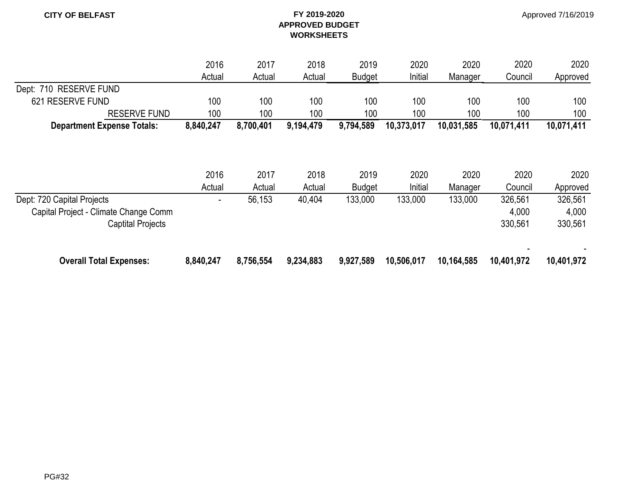Approved 7/16/2019

|                                       | 2016      | 2017      | 2018      | 2019          | 2020       | 2020       | 2020       | 2020       |
|---------------------------------------|-----------|-----------|-----------|---------------|------------|------------|------------|------------|
|                                       | Actual    | Actual    | Actual    | <b>Budget</b> | Initial    | Manager    | Council    | Approved   |
| Dept: 710 RESERVE FUND                |           |           |           |               |            |            |            |            |
| 621 RESERVE FUND                      | 100       | 100       | 100       | 100           | 100        | 100        | 100        | 100        |
| <b>RESERVE FUND</b>                   | 100       | 100       | 100       | 100           | 100        | 100        | 100        | 100        |
| <b>Department Expense Totals:</b>     | 8,840,247 | 8,700,401 | 9,194,479 | 9,794,589     | 10,373,017 | 10,031,585 | 10,071,411 | 10,071,411 |
|                                       |           |           |           |               |            |            |            |            |
|                                       | 2016      | 2017      | 2018      | 2019          | 2020       | 2020       | 2020       | 2020       |
|                                       | Actual    | Actual    | Actual    | <b>Budget</b> | Initial    | Manager    | Council    | Approved   |
| Dept: 720 Capital Projects            |           | 56,153    | 40,404    | 133,000       | 133,000    | 133,000    | 326,561    | 326,561    |
| Capital Project - Climate Change Comm |           |           |           |               |            |            | 4,000      | 4,000      |
| <b>Captital Projects</b>              |           |           |           |               |            |            | 330,561    | 330,561    |
| <b>Overall Total Expenses:</b>        | 8,840,247 | 8,756,554 | 9,234,883 | 9,927,589     | 10,506,017 | 10,164,585 | 10,401,972 | 10,401,972 |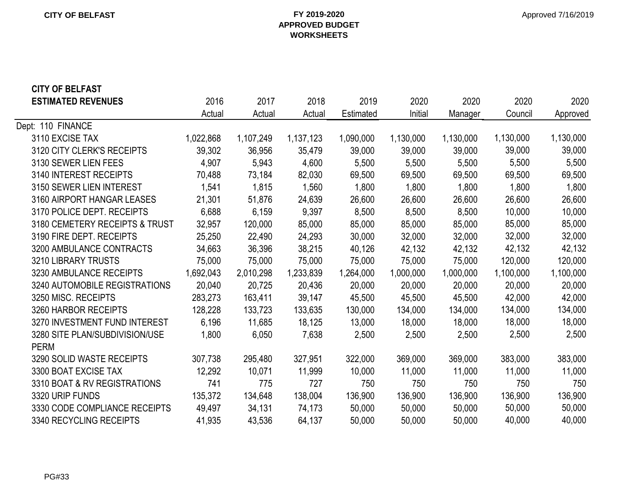#### **CITY OF BELFAST FY 2019-2020 APPROVED BUDGET WORKSHEETS**

# **CITY OF BELFAST**

| <b>ESTIMATED REVENUES</b>      | 2016      | 2017      | 2018      | 2019      | 2020      | 2020      | 2020      | 2020      |
|--------------------------------|-----------|-----------|-----------|-----------|-----------|-----------|-----------|-----------|
|                                | Actual    | Actual    | Actual    | Estimated | Initial   | Manager   | Council   | Approved  |
| Dept: 110 FINANCE              |           |           |           |           |           |           |           |           |
| 3110 EXCISE TAX                | 1,022,868 | 1,107,249 | 1,137,123 | 1,090,000 | 1,130,000 | 1,130,000 | 1,130,000 | 1,130,000 |
| 3120 CITY CLERK'S RECEIPTS     | 39,302    | 36,956    | 35,479    | 39,000    | 39,000    | 39,000    | 39,000    | 39,000    |
| 3130 SEWER LIEN FEES           | 4,907     | 5,943     | 4,600     | 5,500     | 5,500     | 5,500     | 5,500     | 5,500     |
| 3140 INTEREST RECEIPTS         | 70,488    | 73,184    | 82,030    | 69,500    | 69,500    | 69,500    | 69,500    | 69,500    |
| 3150 SEWER LIEN INTEREST       | 1,541     | 1,815     | 1,560     | 1,800     | 1,800     | 1,800     | 1,800     | 1,800     |
| 3160 AIRPORT HANGAR LEASES     | 21,301    | 51,876    | 24,639    | 26,600    | 26,600    | 26,600    | 26,600    | 26,600    |
| 3170 POLICE DEPT. RECEIPTS     | 6,688     | 6,159     | 9,397     | 8,500     | 8,500     | 8,500     | 10,000    | 10,000    |
| 3180 CEMETERY RECEIPTS & TRUST | 32,957    | 120,000   | 85,000    | 85,000    | 85,000    | 85,000    | 85,000    | 85,000    |
| 3190 FIRE DEPT. RECEIPTS       | 25,250    | 22,490    | 24,293    | 30,000    | 32,000    | 32,000    | 32,000    | 32,000    |
| 3200 AMBULANCE CONTRACTS       | 34,663    | 36,396    | 38,215    | 40,126    | 42,132    | 42,132    | 42,132    | 42,132    |
| 3210 LIBRARY TRUSTS            | 75,000    | 75,000    | 75,000    | 75,000    | 75,000    | 75,000    | 120,000   | 120,000   |
| 3230 AMBULANCE RECEIPTS        | 1,692,043 | 2,010,298 | 1,233,839 | 1,264,000 | 1,000,000 | 1,000,000 | 1,100,000 | 1,100,000 |
| 3240 AUTOMOBILE REGISTRATIONS  | 20,040    | 20,725    | 20,436    | 20,000    | 20,000    | 20,000    | 20,000    | 20,000    |
| 3250 MISC. RECEIPTS            | 283,273   | 163,411   | 39,147    | 45,500    | 45,500    | 45,500    | 42,000    | 42,000    |
| 3260 HARBOR RECEIPTS           | 128,228   | 133,723   | 133,635   | 130,000   | 134,000   | 134,000   | 134,000   | 134,000   |
| 3270 INVESTMENT FUND INTEREST  | 6,196     | 11,685    | 18,125    | 13,000    | 18,000    | 18,000    | 18,000    | 18,000    |
| 3280 SITE PLAN/SUBDIVISION/USE | 1,800     | 6,050     | 7,638     | 2,500     | 2,500     | 2,500     | 2,500     | 2,500     |
| <b>PERM</b>                    |           |           |           |           |           |           |           |           |
| 3290 SOLID WASTE RECEIPTS      | 307,738   | 295,480   | 327,951   | 322,000   | 369,000   | 369,000   | 383,000   | 383,000   |
| 3300 BOAT EXCISE TAX           | 12,292    | 10,071    | 11,999    | 10,000    | 11,000    | 11,000    | 11,000    | 11,000    |
| 3310 BOAT & RV REGISTRATIONS   | 741       | 775       | 727       | 750       | 750       | 750       | 750       | 750       |
| 3320 URIP FUNDS                | 135,372   | 134,648   | 138,004   | 136,900   | 136,900   | 136,900   | 136,900   | 136,900   |
| 3330 CODE COMPLIANCE RECEIPTS  | 49,497    | 34,131    | 74,173    | 50,000    | 50,000    | 50,000    | 50,000    | 50,000    |
| 3340 RECYCLING RECEIPTS        | 41,935    | 43,536    | 64,137    | 50,000    | 50,000    | 50,000    | 40,000    | 40,000    |